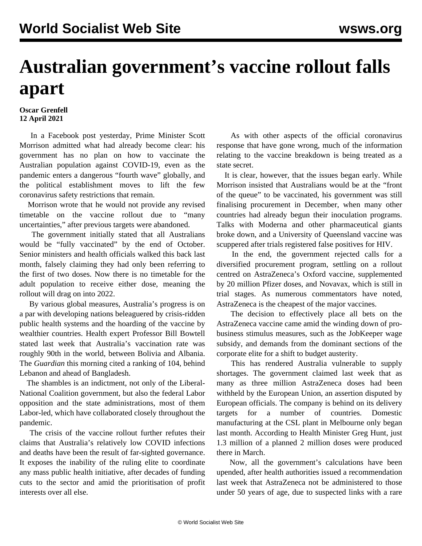## **Australian government's vaccine rollout falls apart**

## **Oscar Grenfell 12 April 2021**

 In a Facebook post yesterday, Prime Minister Scott Morrison admitted what had already become clear: his government has no plan on how to vaccinate the Australian population against COVID-19, even as the pandemic enters a dangerous "fourth wave" globally, and the political establishment moves to lift the few coronavirus safety restrictions that remain.

 Morrison wrote that he would not provide any revised timetable on the vaccine rollout due to "many uncertainties," after previous targets were abandoned.

 The government initially stated that all Australians would be "fully vaccinated" by the end of October. Senior ministers and health officials walked this back last month, falsely claiming they had only been referring to the first of two doses. Now there is no timetable for the adult population to receive either dose, meaning the rollout will drag on into 2022.

 By various global measures, Australia's progress is on a par with developing nations beleaguered by crisis-ridden public health systems and the hoarding of the vaccine by wealthier countries. Health expert Professor Bill Bowtell stated last week that Australia's vaccination rate was roughly 90th in the world, between Bolivia and Albania. The *Guardian* this morning cited a ranking of 104, behind Lebanon and ahead of Bangladesh.

 The shambles is an indictment, not only of the Liberal-National Coalition government, but also the federal Labor opposition and the state administrations, most of them Labor-led, which have collaborated closely throughout the pandemic.

 The crisis of the vaccine rollout further refutes their claims that Australia's relatively low COVID infections and deaths have been the result of far-sighted governance. It exposes the inability of the ruling elite to coordinate any mass public health initiative, after decades of funding cuts to the sector and amid the prioritisation of profit interests over all else.

 As with other aspects of the official coronavirus response that have gone wrong, much of the information relating to the vaccine breakdown is being treated as a state secret.

 It is clear, however, that the issues began early. While Morrison insisted that Australians would be at the "front of the queue" to be vaccinated, his government was still finalising procurement in December, when many other countries had already begun their inoculation programs. Talks with Moderna and other pharmaceutical giants broke down, and a University of Queensland vaccine was scuppered after trials registered false positives for HIV.

 In the end, the government rejected calls for a diversified procurement program, settling on a rollout centred on AstraZeneca's Oxford vaccine, supplemented by 20 million Pfizer doses, and Novavax, which is still in trial stages. As numerous commentators have noted, AstraZeneca is the cheapest of the major vaccines.

 The decision to effectively place all bets on the AstraZeneca vaccine came amid the winding down of probusiness stimulus measures, such as the JobKeeper wage subsidy, and demands from the dominant sections of the corporate elite for a shift to budget austerity.

 This has rendered Australia vulnerable to supply shortages. The government claimed last week that as many as three million AstraZeneca doses had been withheld by the European Union, an assertion disputed by European officials. The company is behind on its delivery targets for a number of countries. Domestic manufacturing at the CSL plant in Melbourne only began last month. According to Health Minister Greg Hunt, just 1.3 million of a planned 2 million doses were produced there in March.

 Now, all the government's calculations have been upended, after health authorities issued a recommendation last week that AstraZeneca not be administered to those under 50 years of age, due to suspected links with a rare